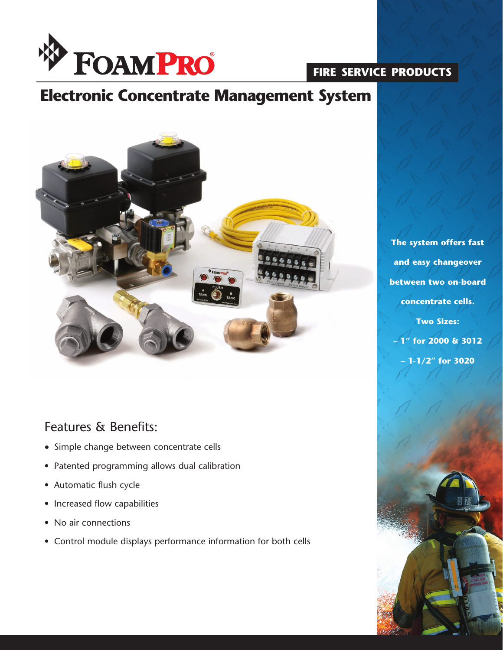

## **fire service products**

# **Electronic Concentrate Management System**



### Features & Benefits:

- Simple change between concentrate cells
- Patented programming allows dual calibration
- Automatic flush cycle
- Increased flow capabilities
- No air connections
- Control module displays performance information for both cells

**The system offers fast and easy changeover between two on-board concentrate cells. Two Sizes: – 1" for 2000 & 3012 – 1-1/2" for 3020**